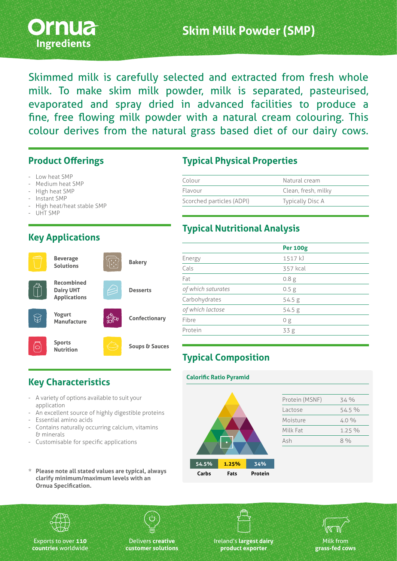

Skimmed milk is carefully selected and extracted from fresh whole milk. To make skim milk powder, milk is separated, pasteurised, evaporated and spray dried in advanced facilities to produce a fine, free flowing milk powder with a natural cream colouring. This colour derives from the natural grass based diet of our dairy cows.

#### **Product Offerings**

- Low heat SMP
- Medium heat SMP
- High heat SMP
- Instant SMP
- High heat/heat stable SMP
- UHT SMP

## **Key Applications**



### **Typical Physical Properties**

| Colour                    | Natural cream           |  |
|---------------------------|-------------------------|--|
| Flavour                   | Clean, fresh, milky     |  |
| Scorched particles (ADPI) | <b>Typically Disc A</b> |  |

#### **Typical Nutritional Analysis**

|                    | <b>Per 100g</b>  |  |
|--------------------|------------------|--|
| Energy             | 1517 kJ          |  |
| Cals               | 357 kcal         |  |
| Fat                | 0.8 <sub>g</sub> |  |
| of which saturates | 0.5 <sub>g</sub> |  |
| Carbohydrates      | 54.5 g           |  |
| of which lactose   | 54.5 g           |  |
| Fibre              | 0 g              |  |
| Protein            | 33 <sub>g</sub>  |  |
|                    |                  |  |

# **Typical Composition**

# **Key Characteristics**

- A variety of options available to suit your application
- An excellent source of highly digestible proteins
- Essential amino acids
- Contains naturally occurring calcium, vitamins & minerals
- Customisable for specific applications
- **\* Please note all stated values are typical, always clarify minimum/maximum levels with an Ornua Specification.**











Exports to over **110 countries** worldwide

Delivers **creative customer solutions** Ireland's **largest dairy product exporter**